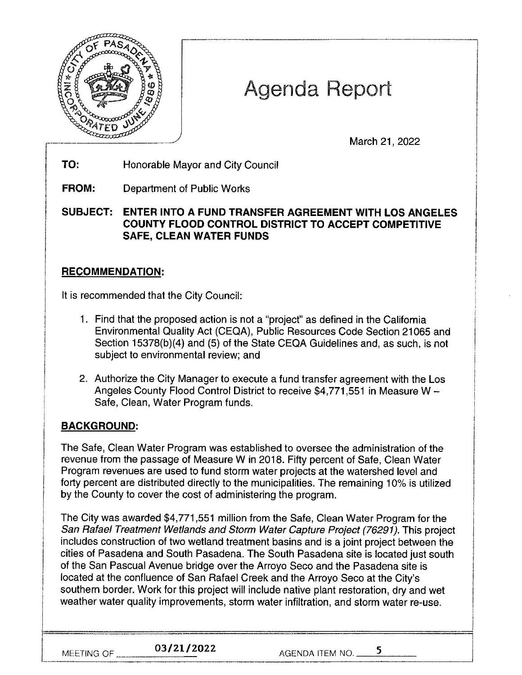

# Agenda Report

March 21, 2022

**TO:**  Honorable Mayor and City Council

**FROM:**  Department of Public Works

**SUBJECT: ENTER INTO A FUND TRANSFER AGREEMENT WITH LOS ANGELES COUNTY FLOOD CONTROL DISTRICT TO ACCEPT COMPETITIVE SAFE, CLEAN WATER FUNDS** 

## **RECOMMENDATION:**

It is recommended that the City Council:

- 1. Find that the proposed action is not a "project" as defined in the California Environmental Quality Act (CEQA), Public Resources Code Section 21065 and Section 15378(b)(4) and (5) of the State CEQA Guidelines and, as such, is not subject to environmental review; and
- 2. Authorize the City Manager to execute a fund transfer agreement with the Los Angeles County Flood Control District to receive \$4,771,551 in Measure W -Safe, Clean, Water Program funds.

## **BACKGROUND:**

The Safe, Clean Water Program was established to oversee the administration of the revenue from the passage of Measure Win 2018. Fifty percent of Safe, Clean Water Program revenues are used to fund storm water projects at the watershed level and forty percent are distributed directly to the municipalities. The remaining 10% is utilized by the County to cover the cost of administering the program.

The City was awarded \$4,771 ,551 million from the Safe, Clean Water Program for the San Rafael Treatment Wetlands and Storm Water Capture Project (76291 ). This project includes construction of two wetland treatment basins and is a joint project between the cities of Pasadena and South Pasadena. The South Pasadena site is located just south of the San Pascual Avenue bridge over the Arroyo Seco and the Pasadena site is located at the confluence of San Rafael Creek and the Arroyo Seco at the City's southern border. Work for this project will include native plant restoration, dry and wet weather water quality improvements, storm water infiltration, and storm water re-use.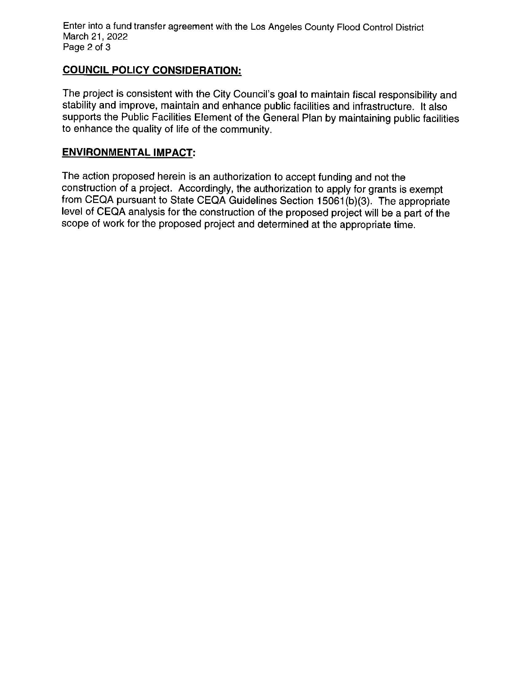Enter into a fund transfer agreement with the Los Angeles County Flood Control District March 21, 2022 Page 2 of 3

### **COUNCIL POLICY CONSIDERATION:**

The project is consistent with the City Council's goal to maintain fiscal responsibility and stability and improve, maintain and enhance public facilities and infrastructure. It also supports the Public Facilities Element of the General Plan by maintaining public facilities to enhance the quality of life of the community.

### **ENVIRONMENTAL IMPACT:**

The action proposed herein is an authorization to accept funding and not the construction of a project. Accordingly, the authorization to apply for grants is exempt from CEQA pursuant to State CEQA Guidelines Section 15061 (b)(3). The appropriate level of CEQA analysis for the construction of the proposed project will be a part of the scope of work for the proposed project and determined at the appropriate time.